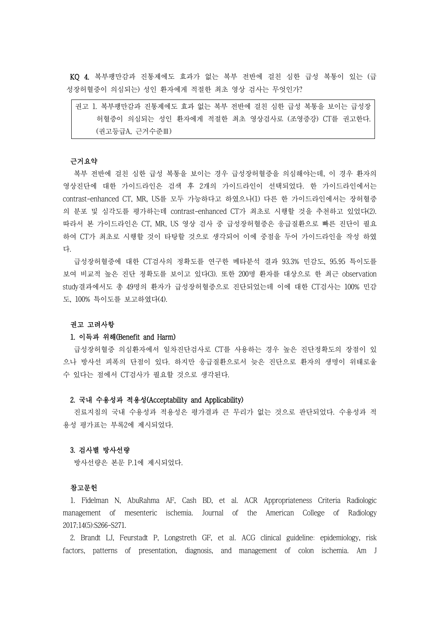KQ 4. 복부팽만감과 진통제에도 효과가 없는 복부 전반에 걸친 심한 급성 복통이 있는 (급 성장허혈증이 의심되는) 성인 환자에게 적절한 최초 영상 검사는 무엇인가?

| 권고 1. 복부팽만감과 진통제에도 효과 없는 복부 전반에 걸친 심한 급성 복통을 보이는 급성장 |
|------------------------------------------------------|
| 허혈증이 의심되는 성인 환자에게 적절한 최초 영상검사로 (조영증강) CT를 권고한다.      |
| (권고등급A, 근거수준Ⅲ)                                       |

#### 근거요약

복부 전반에 걸친 심한 급성 복통을 보이는 경우 급성장허혈증을 의심해야는데, 이 경우 환자의 영상진단에 대한 가이드라인은 검색 후 2개의 가이드라인이 선택되었다. 한 가이드라인에서는 contrast-enhanced CT, MR, US를 모두 가능하다고 하였으나(1) 다른 한 가이드라인에서는 장허혈증 의 분포 및 심각도를 평가하는데 contrast-enhanced CT가 최초로 시행할 것을 추천하고 있었다(2). 따라서 본 가이드라인은 CT, MR, US 영상 검사 중 급성장허혈증은 응급질환으로 빠른 진단이 필요 하여 CT가 최초로 시행할 것이 타탕할 것으로 생각되어 이에 중점을 두어 가이드라인을 작성 하였 다.

급성장허혈증에 대한 CT검사의 정확도를 연구한 메타분석 결과 93.3% 민감도, 95.95 특이도를 보여 비교적 높은 진단 정확도를 보이고 있다(3). 또한 200명 환자를 대상으로 한 최근 observation study결과에서도 총 49명의 환자가 급성장허혈증으로 진단되었는데 이에 대한 CT검사는 100% 민감 도, 100% 특이도를 보고하였다(4).

# 권고 고려사항

## 1. 이득과 위해(Benefit and Harm)

급성장허혈증 의심환자에서 일차진단검사로 CT를 사용하는 경우 높은 진단정확도의 장점이 있 으나 방사선 피폭의 단점이 있다. 하지만 응급질환으로서 늦은 진단으로 환자의 생명이 위태로울 수 있다는 점에서 CT검사가 필요할 것으로 생각된다.

## 2. 국내 수용성과 적용성(Acceptability and Applicability)

진료지침의 국내 수용성과 적용성은 평가결과 큰 무리가 없는 것으로 판단되었다. 수용성과 적 용성 평가표는 부록2에 제시되었다.

### 3. 검사별 방사선량

방사선량은 본문 P.1에 제시되었다.

#### 참고문헌

1. Fidelman N, AbuRahma AF, Cash BD, et al. ACR Appropriateness Criteria Radiologic management of mesenteric ischemia. Journal of the American College of Radiology 2017;14(5):S266-S271.

2. Brandt LJ, Feurstadt P, Longstreth GF, et al. ACG clinical guideline: epidemiology, risk factors, patterns of presentation, diagnosis, and management of colon ischemia. Am J